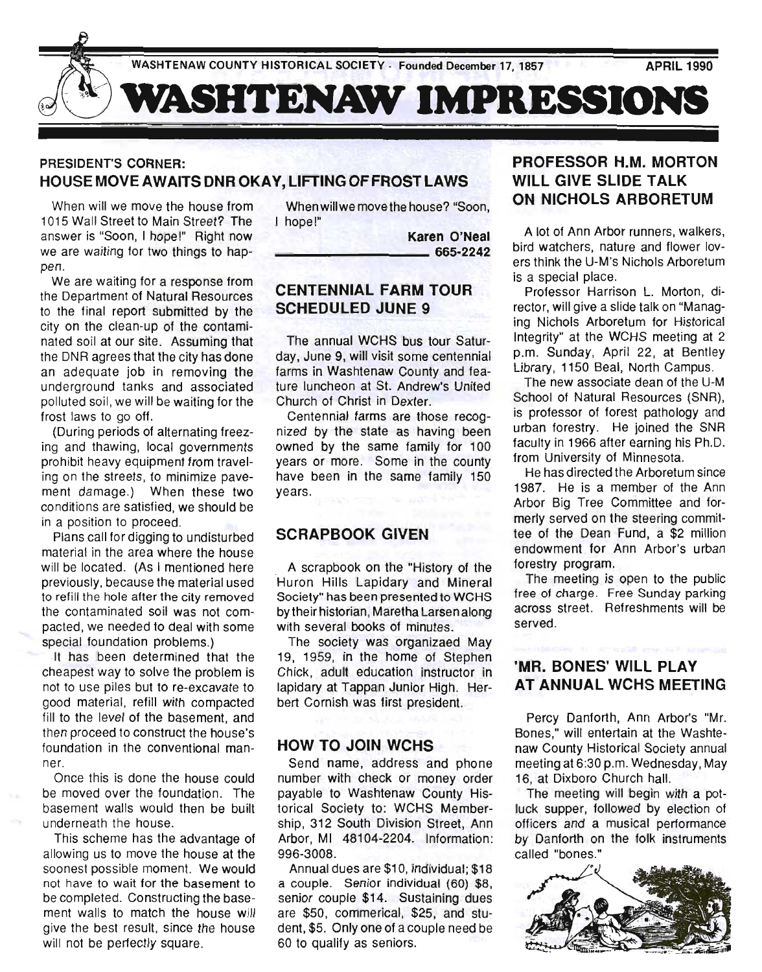

## PRESIDENT'S CORNER: HOUSE MOVE AWAITS DNR OKAY, LIFTING OF FROST LAWS

When will we move the house from 1015 Wall Street to Main Street? The answer is "Soon, I hope!" Right now we are waiting for two things to happen.

We are waiting for a response from the Department of Natural Resources to the final report submitted by the city on the clean-up of the contaminated soil at our site. Assuming that the DNR agrees that the city has done an adequate job in removing the underground tanks and associated polluted soil, we will be waiting for the frost laws to go off.

(During periods of alternating freezing and thawing, local governments prohibit heavy equipment from traveling on the streets, to minimize pavement damage.) When these two conditions are satisfied, we should be in a position to proceed.

Plans call for digging to undisturbed material in the area where the house will be located. (As I mentioned here previously, because the material used to refill the hole after the city removed the contaminated soil was not compacted, we needed to deal with some special foundation problems.)

It has been determined that the cheapest way to solve the problem is not to use piles but to re-excavate to good material, refill with compacted fill to the level of the basement, and then proceed to construct the house's foundation in the conventional manner.

Once this is done the house could be moved over the foundation. The basement walls would then be built underneath the house.

This scheme has the advantage of allowing us to move the house at the soonest possible moment. We would not have to wait for the basement to be completed. Constructing the basement walls to match the house will give the best result, since the house will not be perfectly square.

When will we move the house? "Soon, I hope!"

Karen O'Neal \_\_\_\_\_\_\_\_ 665-2242

## CENTENNIAL FARM TOUR SCHEDULED JUNE 9

The annual WCHS bus tour Saturday, June 9, will visit some centennial farms in Washtenaw County and feature luncheon at St. Andrew's United Church of Christ in Dexter.

Centennial farms are those recognized by the state as having been owned by the same family for 100 years or more. Some in the county have been in the same family 150 years.

## SCRAPBOOK GIVEN

A scrapbook on the "History of the Huron Hills Lapidary and Mineral Society" has been presented to WCHS by their historian, Maretha Larsen along with several books of minutes.

The society was organizaed May 19, 1959, in the home of Stephen Chick, adult education instructor in lapidary at Tappan Junior High. Herbert Cornish was first president.

### HOW TO JOIN WCHS

Send name, address and phone number with check or money order payable to Washtenaw County Historical Society to: WCHS Membership, 312 South Division Street, Ann Arbor, MI 48104-2204. Information: 996-3008.

Annual dues are \$10, individual; \$18 a couple. Senior individual (60) \$8, senior couple \$14. Sustaining dues are \$50, commerical, \$25, and student, \$5. Only one of a couple need be 60 to qualify as seniors.

# PROFESSOR H.M. MORTON WILL GIVE SLIDE TALK ON NICHOLS ARBORETUM

A lot of Ann Arbor runners, walkers, bird watchers, nature and flower lovers think the U-M's Nichols Arboretum is a special place.

Professor Harrison L. Morton, director, will give a slide talk on "Managing Nichols Arboretum for Historical Integrity" at the WCHS meeting at 2 p.m. Sunday, April 22, at Bentley Library, 1150 Beal, North Campus.

The new associate dean of the U-M School of Natural Resources (SNR), is professor of forest pathology and urban forestry. He joined the SNR faculty in 1966 after earning his Ph.D. from University of Minnesota.

He has directed the Arboretum since 1987. He is a member of the Ann Arbor Big Tree Committee and formerly served on the steering committee of the Dean Fund, a \$2 million endowment for Ann Arbor's urban forestry program.

The meeting is open to the public free of charge. Free Sunday parking across street. Refreshments will be served.

## 'MR. BONES' WILL PLAY AT ANNUAL WCHS MEETING

Percy Danforth, Ann Arbor's "Mr. Bones," will entertain at the Washtenaw County Historical Society annual meeting at 6:30 p.m. Wednesday, May 16, at Dixboro Church hall.

The meeting will begin with a potluck supper, followed by election of officers and a musical performance by Danforth on the folk instruments called "bones."

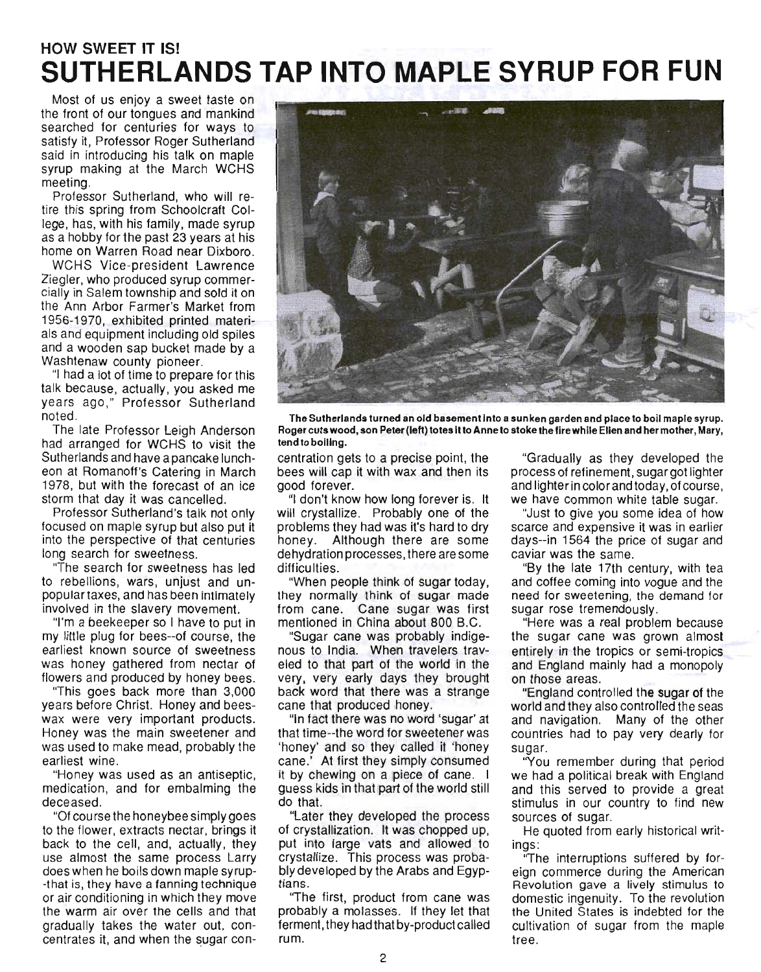# **HOW SWEET IT IS! SUTHERLANDS TAP INTO MAPLE SYRUP FOR FUN**

Most of us enjoy a sweet taste on the front of our tongues and mankind searched for centuries for ways to satisfy it, Professor Roger Sutherland said in introducing his talk on maple syrup making at the March WCHS meeting.

Professor Sutherland, who will retire this spring from Schoolcraft College, has, with his family, made syrup as a hobby for the past 23 years at his home on Warren Road near Dixboro.

WCHS Vice-president Lawrence Ziegler, who produced syrup commercially in Salem township and sold it on the Ann Arbor Farmer's Market from 1956-1970, exhibited printed materials and equipment including old spiles and a wooden sap bucket made by a Washtenaw county pioneer.

"I had a lot of time to prepare for this talk because, actually, you asked me years ago," Professor Sutherland noted.

The late Professor Leigh Anderson had arranged for WCHS to visit the Sutherlands and have a pancake luncheon at Romanoff's Catering in March 1978, but with the forecast of an ice storm that day it was cancelled.

Professor Sutherland's talk not only focused on maple syrup but also put it into the perspective of that centuries long search for sweetness.

"The search for sweetness has led to rebellions, wars, unjust and unpopular taxes, and has been intimately involved in the slavery movement.

"I'm a beekeeper so I have to put in my little plug for bees--of course, the earliest known source of sweetness was honey gathered from nectar of flowers and produced by honey bees.

"This goes back more than 3,000 years before Christ. Honey and beeswax were very important products. Honey was the main sweetener and was used to make mead, probably the earliest wine.

"Honey was used as an antiseptic, medication, and for embalming the deceased.

"Of cou rse the honeybee simply goes to the flower, extracts nectar, brings it back to the cell, and, actually, they use almost the same process Larry does when he boils down maple syrup- -that is, they have a fanning technique or air conditioning in which they move the warm air over the cells and that gradually takes the water out, concentrates it, and when the sugar con-



The Sutherlands turned an old basement Into a sunken garden and place to boil maple syrup. Roger cuts wood, son Peter (left) totes It to Anne to stoke the fire while Ellen and her mother, Mary, tend to boiling.

centration gets to a precise point, the bees will cap it with wax and then its good forever.

"I don't know how long forever is. It will crystallize. Probably one of the problems they had was it's hard to dry honey. Although there are some dehydration processes, there are some difficulties.

"When people think of sugar today, they normally think of sugar made from cane. Cane sugar was first mentioned in China about 800 B.C.

"Sugar cane was probably indigenous to India. When travelers traveled to that part of the world in the very, very early days they brought back word that there was a strange cane that produced honey.

"In fact there was no word 'sugar' at that time--the word for sweetener was 'honey' and so they called it 'honey cane.' At first they simply consumed it by chewing on a piece of cane. I guess kids in that part of the world still do that.

"Later they developed the process of crystallization. It was chopped up, put into large vats and allowed to crystallize. This process was probably developed by the Arabs and Egyptians.

"The first, product from cane was probably a molasses. If they let that ferment, they had that by-product called rum.

"Gradually as they developed the process of refinement, sugar got lighter and lighter in color and today, of course, we have common white table sugar.

"Just to give you some idea of how scarce and expensive it was in earlier days--in 1564 the price of sugar and caviar was the same.

"By the late 17th century, with tea and coffee coming into vogue and the need for sweetening, the demand for sugar rose tremendously.

"Here was a real problem because the sugar cane was grown almost entirely in the tropics or semi-tropics and England mainly had a monopoly on those areas.

"England controlled the sugar of the world and they also controlled the seas and navigation. Many of the other countries had to pay very dearly for sugar.

"You remember during that period we had a political break with England and this served to provide a great stimulus in our country to find new sources of sugar.

He quoted from early historical writings:

"The interruptions suffered by foreign commerce during the American Revolution gave a lively stimulus to domestic ingenuity. To the revolution the United States is indebted for the cultivation of sugar from the maple tree.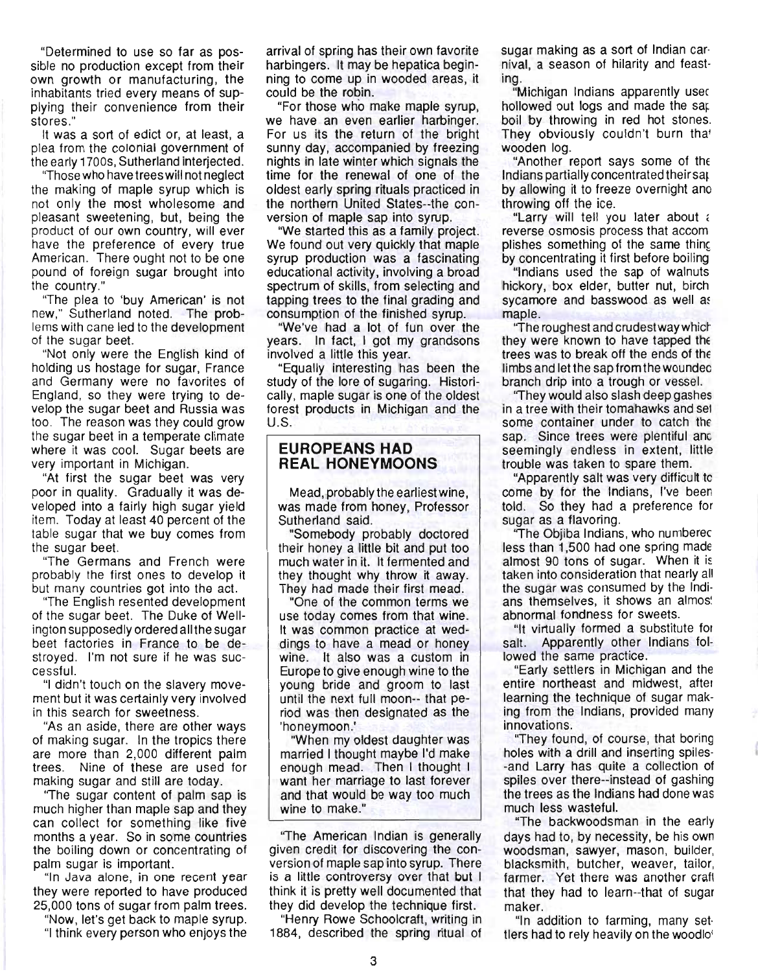"Determined to use so far as possible no production except from their own growth or manufacturing, the inhabitants tried every means of supplying their convenience from their stores."

It was a sort of edict or, at least, a plea from the colonial government of the early 1700s, Sutherland interjected.

"Those who have trees will not neglect the making of maple syrup which is not only the most wholesome and pleasant sweetening, but, being the product of our own country, will ever have the preference of every true American. There ought not to be one pound of foreign sugar brought into the country."

"The plea to 'buy American' is not new," Sutherland noted. The problems with cane led to the development of the sugar beet.

"Not only were the English kind of holding us hostage for sugar, France and Germany were no favorites of England, so they were trying to develop the sugar beet and Russia was too. The reason was they could grow the sugar beet in a temperate climate where it was cool. Sugar beets are very important in Michigan.

"At first the sugar beet was very poor in quality. Gradually it was developed into a fairly high sugar yield item. Today at least 40 percent of the table sugar that we buy comes from the sugar beet.

"The Germans and French were probably the first ones to develop it but many countries got into the act.

"The English resented development of the sugar beet. The Duke of Wellington supposedly ordered all the sugar beet factories in France to be destroyed. I'm not sure if he was successful.

"I didn't touch on the slavery movement but it was certainly very involved in this search for sweetness.

"As an aside, there are other ways of making sugar. In the tropics there are more than 2,000 different palm trees. Nine of these are used for making sugar and still are today.

"The sugar content of palm sap is much higher than maple sap and they can collect for something like five months a year. So in some countries the boiling down or concentrating of palm sugar is important.

"In Java alone, in one recent year they were reported to have produced 25,000 tons of sugar from palm trees.

"Now, let's get back to maple syrup. "I think every person who enjoys the arrival of spring has their own favorite harbingers. It may be hepatica beginning to come up in wooded areas, it could be the robin.

"For those who make maple syrup, we have an even earlier harbinger. For us its the return of the bright sunny day, accompanied by freezing nights in late winter which signals the time for the renewal of one of the oldest early spring rituals practiced in the northern United States--the conversion of maple sap into syrup.

"We started this as a family project. We found out very quickly that maple syrup production was a fascinating educational activity, involving a broad spectrum of skills, from selecting and tapping trees to the final grading and consumption of the finished syrup.

"We've had a lot of fun over the years. In fact, I got my grandsons involved a little this year.

"Equally interesting has been the study of the lore of sugaring. Historically, maple sugar is one of the oldest forest products in Michigan and the U.S.

#### **EUROPEANS HAD REAL HONEYMOONS**

Mead, probably the earliest wine, was made from honey, Professor Sutherland said.

"Somebody probably doctored their honey a little bit and put too much water in it. It fermented and they thought why throw it away. They had made their first mead.

"One of the common terms we use today comes from that wine. It was common practice at weddings to have a mead or honey wine. It also was a custom in Europe to give enough wine to the young bride and groom to last until the next full moon-- that period was then designated as the 'honeymoon.'

"When my oldest daughter was married I thought maybe I'd make enough mead. Then I thought I want her marriage to last forever and that would be way too much wine to make."

"The American Indian is generally given credit for discovering the conversion of maple sap into syrup. There is a little controversy over that but I think it is pretty well documented that they did develop the technique first.

"Henry Rowe Schoolcraft, writing in 1884, described the spring ritual of sugar making as a sort of Indian car· nival, a season of hilarity and feasting.

"Michigan Indians apparently used hollowed out logs and made the sat boil by throwing in red hot stones. They obviously couldn't burn that wooden log.

"Another report says some of the Indians partially concentrated their sar by allowing it to freeze overnight ano throwing off the ice.

"Larry will tell you later about a reverse osmosis process that accom plishes something of the same thing by concentrating it first before boiling

"Indians used the sap of walnuts hickory, box elder, butter nut, birch sycamore and basswood as well as maple.

"The roughest and crudest way which they were known to have tapped the trees was to break off the ends of the limbs and let the sap from the woundec branch drip into a trough or vessel.

''They would also slash deep gashes in a tree with their tomahawks and sel some container under to catch the sap. Since trees were plentiful and seemingly endless in extent, little trouble was taken to spare them.

"Apparently salt was very difficult to come by for the Indians, I've been told. So they had a preference for sugar as a flavoring.

''The Objiba Indians, who numberec less than 1,500 had one spring made almost 90 tons of sugar. When it is taken into consideration that nearly all the sugar was consumed by the Indians themselves, it shows an almos! abnormal fondness for sweets.

"It virtually formed a substitute for salt. Apparently other Indians followed the same practice.

"Early settlers in Michigan and the entire northeast and midwest, after learning the technique of sugar making from the Indians, provided many innovations\_

"They found, of course, that boring holes with a drill and inserting spiles- -and Larry has quite a collection of spiles over there--instead of gashing the trees as the Indians had done was much less wasteful.

"The backwoods man in the early days had to, by necessity, be his own woodsman, sawyer, mason, builder, blacksmith, butcher, weaver, tailor, farmer. Yet there was another craft that they had to learn--that of sugar maker.

"In addition to farming, many settlers had to rely heavily on the woodlo<sup>®</sup>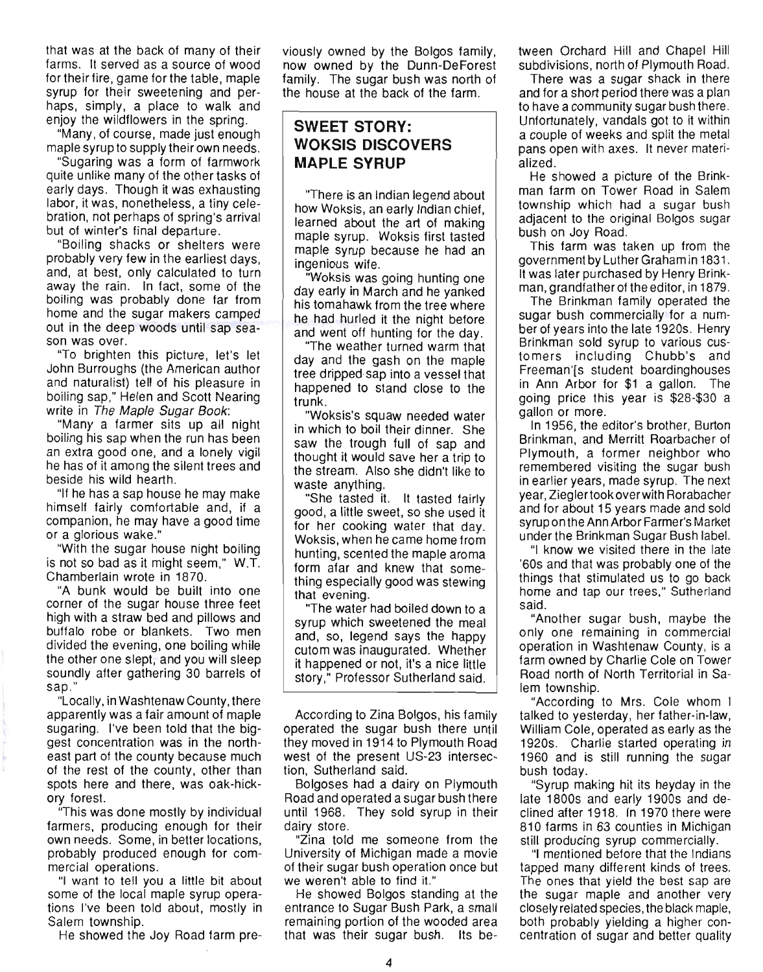that was at the back of many of their farms. It served as a source of wood for their fire, game for the table, maple syrup for their sweetening and perhaps, simply, a place to walk and enjoy the wildflowers in the spring.

"Many, of course, made just enough maple syrup to supply their own needs.

"Sugaring was a form of farmwork quite unlike many of the other tasks of early days. Though it was exhausting labor, it was, nonetheless, a tiny celebration, not perhaps of spring's arrival but of winter's final departure.

"Boiling shacks or shelters were probably very few in the earliest days, and, at best, only calculated to turn away the rain. In fact, some of the boiling was probably done far from home and the sugar makers camped out in the deep woods until sap season was over.

"To brighten this picture, let's let John Burroughs (the American author and naturalist) tell of his pleasure in boiling sap," Helen and Scott Nearing write in The Maple Sugar Book:

"Many a farmer sits up all night boiling his sap when the run has been an extra good one, and a lonely vigil he has of it among the silent trees and beside his wild hearth.

"If he has a sap house he may make himself fairly comfortable and, if a companion, he may have a good time or a glorious wake."

"With the sugar house night boiling is not so bad as it might seem," W.T. Chamberlain wrote in 1870.

"A bunk would be built into one corner of the sugar house three feet . high with a straw bed and pillows and buffalo robe or blankets. Two men divided the evening, one boiling while the other one slept, and you will sleep soundly after gathering 30 barrels of sap."

"Locally, in WashtenawCounty, there apparently was a fair amount of maple sugaring. I've been told that the biggest concentration was in the northeast part of the county because much of the rest of the county, other than spots here and there, was oak-hickory forest.

"This was done mostly by individual farmers, producing enough for their own needs. Some, in better locations, probably produced enough for commercial operations.

"I want to tell you a little bit about some of the local maple syrup operations I've been told about, mostly in Salem township.

He showed the Joy Road farm pre-

viously owned by the Bolgos family, now owned by the Dunn-DeForest family. The sugar bush was north of the house at the back of the farm.

## **SWEET STORY: WOKSIS DISCOVERS MAPLE SYRUP**

"There is an Indian legend about how Woksis, an early Indian chief, learned about the art of making maple syrup. Woksis first tasted maple syrup because he had an ingenious wife.

"Woksis was going hunting one day early in March and he yanked his tomahawk from the tree where he had hurled it the night before and went off hunting for the day.

"The weather turned warm that day and the gash on the maple tree dripped sap into a vessel that happened to stand close to the trunk.

"Woksis's squaw needed water in which to boil their dinner. She saw the trough full of sap and thought it would save her a trip to the stream. Also she didn't like to waste anything.

"She tasted it. It tasted fairly good, a little sweet, so she used it for her cooking water that day. Woksis, when he came home from hunting, scented the maple aroma form afar and knew that something especially good was stewing that evening.

"The water had boiled down to a syrup which sweetened the meal and, so, legend says the happy cutom was inaugurated. Whether it happened or not, it's a nice little story," Professor Sutherland said.

According to Zina Bolgos, his family operated the sugar bush there until they moved in 1914 to Plymouth Road west of the present US-23 intersection, Sutherland said.

Bolgoses had a dairy on Plymouth Road and operated a sugar bush there until 1968. They sold syrup in their dairy store.

"Zina told me someone from the University of Michigan made a movie of their sugar bush operation once but we weren't able to find it."

He showed Bolgos standing at the entrance to Sugar Bush Park, a small remaining portion of the wooded area that was their sugar bush. Its between Orchard Hill and Chapel Hill subdivisions, north of Plymouth Road.

There was a sugar shack in there and for a short period there was a plan to have a community sugar bush there. Unfortunately, vandals got to it within a couple of weeks and split the metal pans open with axes. It never materialized.

He showed a picture of the Brinkman farm on Tower Road in Salem township which had a sugar bush adjacent to the original Bolgos sugar bush on Joy Road.

This farm was taken up from the government by Luther Graham in 1831 . It was later purchased by Henry Brinkman, grandfather of the editor, in 1879.

The Brinkman family operated the sugar bush commercially for a number of years into the late 1920s. Henry Brinkman sold syrup to various customers including Chubb's and Freeman'[s student boardinghouses in Ann Arbor for \$1 a gallon. The going price this year is \$28-\$30 a gallon or more.

In 1956, the editor's brother, Burton Brinkman, and Merritt Roarbacher of Plymouth, a former neighbor who remembered visiting the sugar bush in earlier years, made syrup. The next year, Ziegler took over with Rorabacher and for about 15 years made and sold syrup on the Ann Arbor Farmer's Market under the Brinkman Sugar Bush label.

"I know we visited there in the late '60s and that was probably one of the things that stimulated us to go back home and tap our trees," Sutherland said.

"Another sugar bush, maybe the only one remaining in commercial operation in Washtenaw County, is a farm owned by Charlie Cole on Tower Road north of North Territorial in Salem township.

"According to Mrs. Cole whom I talked to yesterday, her father-in-law, William Cole, operated as early as the 1920s. Charlie started operating in 1960 and is still running the sugar bush today.

"Syrup making hit its heyday in the late 1800s and early 1900s and declined after 1918. In 1970 there were 810 farms in 63 counties in Michigan still producing syrup commercially.

"I mentioned before that the Indians tapped many different kinds of trees. The ones that yield the best sap are the sugar maple and another very closely related species, the black maple, both probably yielding a higher concentration of sugar and better quality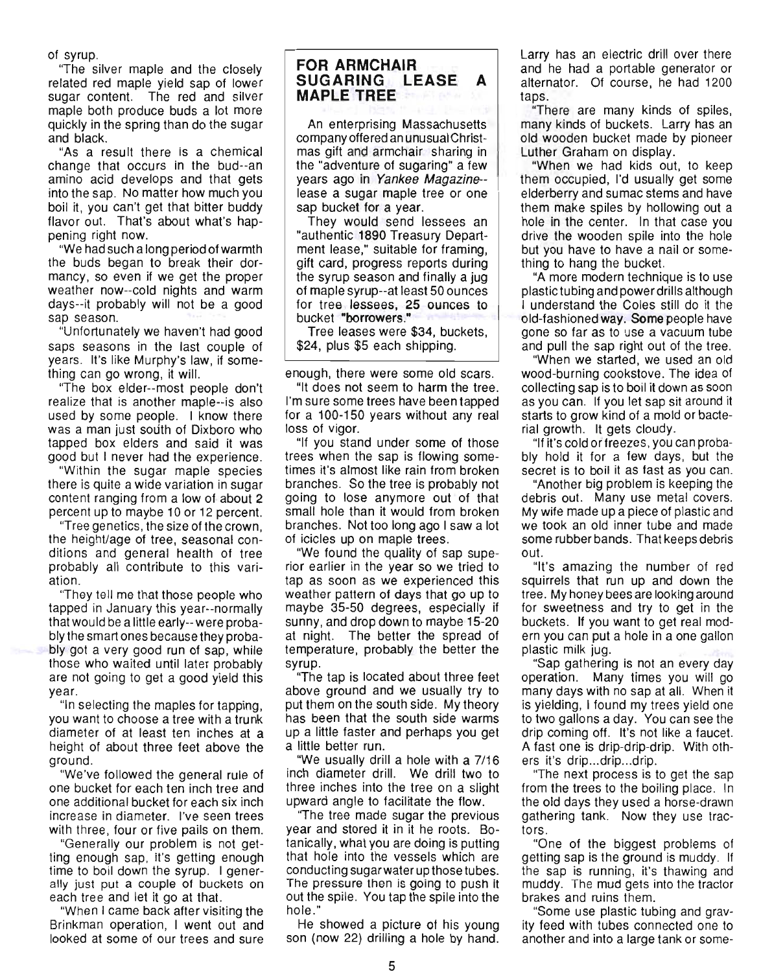of syrup.

"The silver maple and the closely related red maple yield sap of lower sugar content. The red and silver maple both produce buds a lot more quickly in the spring than do the sugar and black.

"As a result there is a chemical change that occurs in the bud--an amino acid develops and that gets into the sap. No matter how much you boil it, you can't get that bitter buddy flavor out. That's about what's happening right now.

"We had such a long period of warmth the buds began to break their dormancy, so even if we get the proper weather now--cold nights and warm days--it probably will not be a good sap season.

"Unfortunately we haven't had good saps seasons in the last couple of years. It's like Murphy's law, if something can go wrong, it will.

"The box elder--most people don't realize that is another maple--is also used by some people. I know there was a man just south of Dixboro who tapped box elders and said it was good but I never had the experience.

"Within the sugar maple species there is quite a wide variation in sugar content ranging from a low of. about 2 percent up to maybe 10 or 12 percent.

"Tree genetics, the size of the crown, the height/age of tree, seasonal conditions and general health of tree probably all contribute to this variation.

'They tell me that those people who tapped in January this year--normally that would be a little early-- were probably the smart ones because they probably got a very good run of sap, while those who waited until later probably are not going to get a good yield this year.

"In selecting the maples for tapping, you want to choose a tree with a trunk diameter of at least ten inches at a height of about three feet above the ground.

"We've followed the general rule of one bucket for each ten inch tree and one additional bucket for each six inch increase in diameter. I've seen trees with three, four or five pails on them.

"Generally our problem is not getting enough sap, it's getting enough time to boil down the syrup. I generally just put a couple of buckets on each tree and let it go at that.

"When I came back after visiting the Brinkman operation, I went out and looked at some of our trees and sure

#### **FOR ARMCHAIR SUGARING LEASE A MAPLE TREE**

An enterprising Massachusetts company offered an unusual Christmas gift and armchair sharing in the "adventure of sugaring" a few years ago in Yankee Magazine- lease a sugar maple tree or one sap bucket for a year.

They would send lessees an "authentic 1890 Treasury Department lease," suitable for framing, gift card, progress reports during the syrup season and finally a jug of maple syrup--at least 50 ounces for tree lessees, 25 ounces to bucket "borrowers."

Tree leases were \$34, buckets, \$24, plus \$5 each shipping.

enough, there were some old scars.

"It does not seem to harm the tree. I'm sure some trees have been tapped for a 100-150 years without any real loss of vigor.

"If you stand under some of those trees when the sap is flowing sometimes it's almost like rain from broken branches. So the tree is probably not going to lose anymore out of that small hole than it would from broken branches. Not too long ago I saw a lot of icicles up on maple trees.

"We found the quality of sap superior earlier in the year so we tried to tap as soon as we experienced this weather pattern of days that go up to maybe 35-50 degrees, especially if sunny, and drop down to maybe 15-20 at night. The better the spread of temperature, probably the better the syrup.

"The tap is located about three feet above ground and we usually try to put them on the south side. My theory has been that the south side warms up a little faster and perhaps you get a little better run.

"We usually drill a hole with a 7/16 inch diameter drill. We drill two to three inches into the tree on a slight upward angle to facilitate the flow.

"The tree made sugar the previous year and stored it in it he roots. Botanically, what you are doing is putting that hole into the vessels which are conducting sugar water up those tubes. The pressure then is going to push it out the spile. You tap the spile into the hole."

He showed a picture of his young son (now 22) drilling a hole by hand. Larry has an electric drill over there and he had a portable generator or alternator. Of course, he had 1200 taps.

"There are many kinds of spiles, many kinds of buckets. Larry has an old wooden bucket made by pioneer Luther Graham on display.

"When we had kids out, to keep them occupied, I'd usually get some elderberry and sumac stems and have them make spiles by hollowing out a hole in the center. In that case you drive the wooden spile into the hole but you have to have a nail or something to hang the bucket.

"A more modern technique is to use plastiC tubing and power drills although I understand the Coles still do it the old-fashioned way. Some people have gone so far as to use a vacuum tube and pull the sap right out of the tree.

"When we started, we used an old wood-burning cookstove. The idea of collecting sap is to boil it down as soon as you can. If you let sap sit around it starts to grow kind of a mold or bacterial growth. It gets cloudy.

"If it's cold or freezes, you can probably hold it for a few days, but the secret is to boil it as fast as you can.

"Another big problem is keeping the debris out. Many use metal covers. My wife made up a piece of plastic and we took an old inner tube and made some rubber bands. That keeps debris out.

"It's amazing the number of red squirrels that run up and down the tree. My honey bees are looking around for sweetness and try to get in the buckets. If you want to get real modern you can put a hole in a one gallon plastic milk jug.

"Sap gathering is not an every day operation. Many times you will go many days with no sap at all. When it is yielding, I found my trees yield one to two gallons a day. You can see the drip coming off. It's not like a faucet. A fast one is drip-drip-drip. With others it's drip...drip...drip.

"The next process is to get the sap from the trees to the boiling place. In the old days they used a horse-drawn gathering tank. Now they use tractors.

"One of the biggest problems of getting sap is the ground is muddy. If the sap is running, it's thawing and muddy. The mud gets into the tractor brakes and ruins them.

"Some use plastic tubing and gravity feed with tubes connected one to another and into a large tank or some-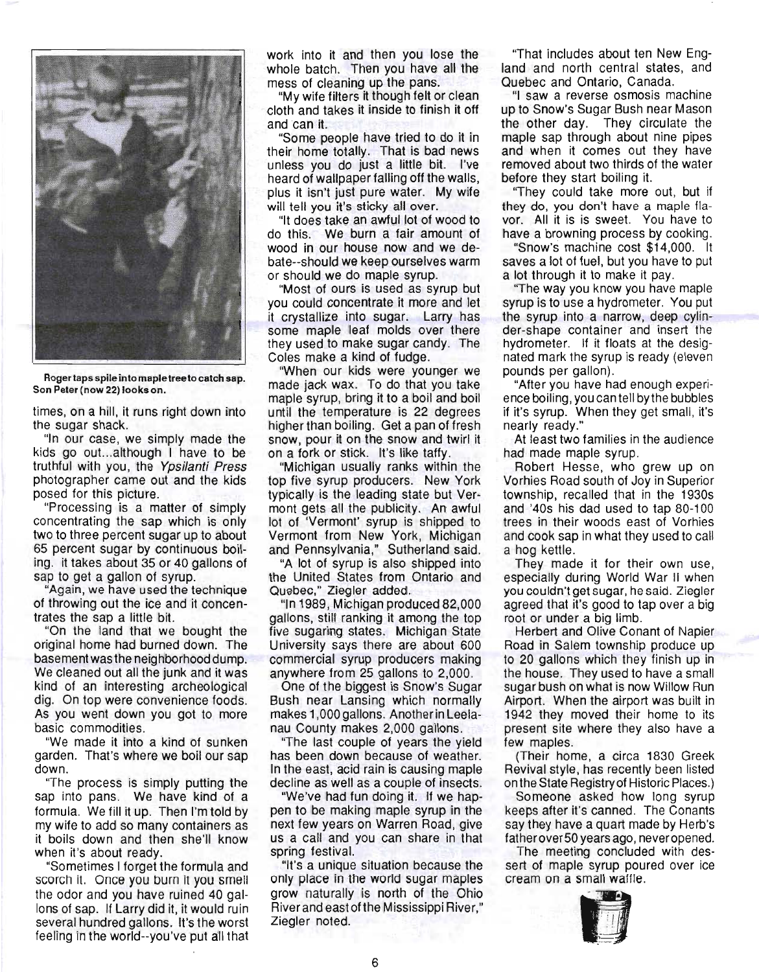

Rogertaps spile into mapletreeto catch sap. Son Peter (now 22) looks on.

times, on a hill, it runs right down into the sugar shack.

"In our case, we simply made the kids go out...although I have to be truthful with you, the Ypsilanti Press photographer came out and the kids posed for this picture.

"Processing is a matter of simply concentrating the sap which is only two to three percent sugar up to about 65 percent sugar by continuous boiling. it takes about 35 or 40 gallons of sap to get a gallon of syrup.

"Again, we have used the technique of throwing out the ice and it concentrates the sap a little bit.

"On the land that we bought the original home had burned down. The basement was the neighborhood dump. We cleaned out all the junk and it was kind of an interesting archeological dig. On top were convenience foods. As you went down you got to more basic commodities.

"We made it into a kind of sunken garden. That's where we boil our sap down.

"The process is simply putting the sap into pans. We have kind of a formula. We fill it up. Then I'm told by my wife to add so many containers as it boils down and then she'll know when it's about ready.

"Sometimes I forget the formula and scorch it. Once you burn it you smell the odor and you have ruined 40 gallons of sap. If Larry did it, it would ruin several hundred gallons. It's the worst feeling in the world--you've put all that

work into it and then you lose the whole batch. Then you have all the mess of cleaning up the pans.

"My wife filters it though felt or clean cloth and takes it inside to finish it off and can it.

"Some people have tried to do it in their home totally. That is bad news unless you do just a little bit. I've heard of wallpaper falling off the walls, plus it isn't just pure water. My wife will tell you it's sticky all over.

"It does take an awful lot of wood to do this. We burn a fair amount of wood in our house now and we debate--should we keep ourselves warm or should we do maple syrup.

"Most of ours is used as syrup but you could concentrate it more and let it crystallize into sugar. Larry has some maple leaf molds over there they used to make sugar candy. The Coles make a kind of fudge.

"When our kids were younger we made jack wax. To do that you take maple syrup, bring it to a boil and boil until the temperature is 22 degrees higher than boiling. Get a pan of fresh snow, pour it on the snow and twirl it on a fork or stick. It's like taffy.

"Michigan usually ranks within the top five syrup producers. New York typically is the leading state but Vermont gets all the publicity. An awful lot of 'Vermont' syrup is shipped to Vermont from New York, Michigan and Pennsylvania," Sutherland said.

"A lot of syrup is also shipped into the United States from Ontario and Quebec," Ziegler added.

"In 1989, Michigan produced 82,000 gallons, still ranking it among the top five sugaring states. Michigan State University says there are about 600 commercial syrup producers making anywhere from 25 gallons to 2,000.

One of the biggest is Snow's Sugar Bush near Lansing which normally makes 1 ,000 gallons. Anotherin Leelanau County makes 2,000 gallons.

"The last couple of years the yield has been down because of weather. In the east, acid rain is causing maple decline as well as a couple of insects.

"We've had fun doing it. If we happen to be making maple syrup in the next few years on Warren Road, give us a call and you can share in that spring festival.

"It's a unique Situation because the only place in the world sugar maples grow naturally is north of the Ohio River and east ofthe Mississippi River," Ziegler noted.

"That includes about ten New England and north central states, and Quebec and Ontario, Canada.

"I saw a reverse osmosis machine up to Snow's Sugar Bush near Mason the other day. They circulate the maple sap through about nine pipes and when it comes out they have removed about two thirds of the water before they start boiling it.

''They could take more out, but if they do, you don't have a maple flavor. All it is is sweet. You have to have a browning process by cooking.

"Snow's machine cost \$14,000. It saves a lot of fuel, but you have to put a lot through it to make it pay.

''The way you know you have maple syrup is to use a hydrometer. You put the syrup into a narrow, deep cylinder-shape container and insert the hydrometer. If it floats at the designated mark the syrup is ready (eleven pounds per gallon).

"After you have had enough experience boiling, you can tell by the bubbles if it's syrup. When they get small, it's nearly ready."

At least two families in the audience had made maple syrup.

Robert Hesse, who grew up on Vorhies Road south of Joy in Superior townShip, recalled that in the 19305 and '40s his dad used to tap 80-100 trees in their woods east of Vorhies and cook sap in what they used to call a hog kettle.

They made it for their own use, especially during World War II when you couldn't get sugar, he said. Ziegler agreed that it's good to tap over a big root or under a big limb.

Herbert and Olive Conant of Napier Road in Salem township produce up to 20 gallons which they finish up in the house. They used to have a small sugar bush on what is now Willow Run Airport. When the airport was built in 1942 they moved their home to its present site where they also have a few maples.

(Their home, a circa 1830 Greek Revival style, has recently been listed onthe State Registry of Historic Places.)

Someone asked how long syrup keeps after it's canned. The Conants say they have a quart made by Herb's fatherover50 years ago, never opened.

The meeting concluded with dessert of maple syrup poured over ice cream on a small waffle.

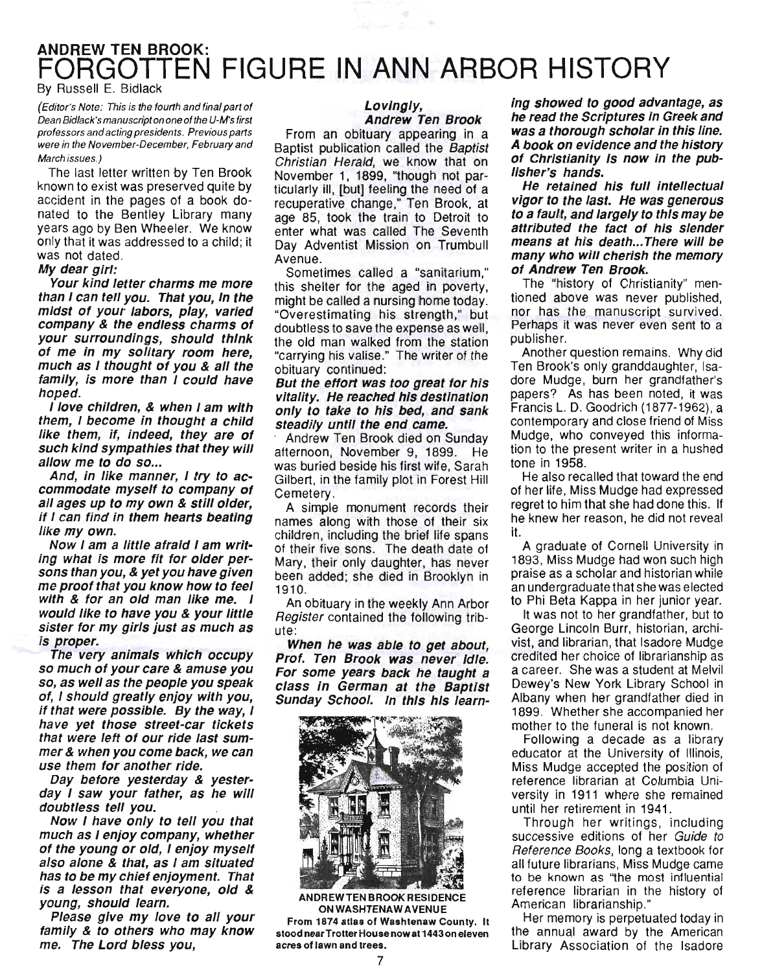# ANDREW TEN BROOK: **FORGOTTEN FIGURE IN ANN ARBOR HISTORY**

By Russell E. Bidlack

(Editor's Note: This is the fourth and final part of Dean Bidlack's manuscript on one of the U-M's first professors and acting presidents. Previous parts were in the November-December, February and March issues.)

The last letter written by Ten Brook known to exist was preserved quite by accident in the pages of a book donated to the Bentley Library many years ago by Ben Wheeler. We know only that it was addressed to a child; it was not dated.

#### My dear girl:

Your kind letter charms me more than I can tell you. That you, In the midst of your labors, play, varied company & the endless charms of your surroundings, should think of me in my solitary room here, much as I thought of you & all the family, is more than I could have hoped.

I love children, & when I am with them, I become in thought a child like them, if, indeed, they are of such kind sympathies that they will allow me to do so...

And, in like manner, I try to accommodate myself to company of all ages up to my own & still older, if I can find in them hearts beating like my own.

Now I am a little afraid I am writing what is more fit for older persons than you, & yet you have given me proof that you know how to feel with & for an old man like me. I would like to have you & your little sister for my girls just as much as is proper.

The very animals which occupy so much of your care & amuse you so, as well as the people you speak of, I should greatly enjoy with you, if that were possible. By the way, I have yet those street-car tickets that were left of our ride last summer & when you come back, we can use them for another ride.

Day before yesterday & yesterday I saw your father, as he will doubtless tell you.

Now I have only to tell you that much as I enjoy company, whether of the young or old, I enjoy myself also alone & that, as I am situated has to be my chief enjoyment. That is a lesson that everyone, old & young, should learn.

Please give my love to all your family & to others who may know me. The Lord bless you,

#### Lovingly, Andrew Ten Brook

From an obituary appearing in a Baptist publication called the Baptist Christian Herald, we know that on November 1, 1899, "though not particularly ill, [but] feeling the need of a recuperative change," Ten Brook, at age 85, took the train to Detroit to enter what was called The Seventh Day Adventist Mission on Trumbull Avenue.

Sometimes called a "sanitarium," this shelter for the aged in poverty, might be called a nursing home today. "Overestimating his strength," but doubtless to save the expense as well, the old man walked from the station "carrying his valise." The writer of the obituary continued:

#### But the effort was too great for his vitality. He reached his destination only to take to his bed, and sank steadily until the end came.

. Andrew Ten Brook died on Sunday afternoon, November 9, 1899. He was buried beside his first wife, Sarah Gilbert, in the family plot in Forest Hill Cemetery.

A simple monument records their names along with those of their six children, including the brief life spans of their five sons. The death date of Mary, their only daughter, has never been added; she died in Brooklyn in 1910.

An obituary in the weekly Ann Arbor Register contained the following tribute:

When he was able to get about, Prof. Ten Brook was never Idle. For some years back he taught a class In German at the Baptist Sunday School. In this his learn-



ANDREW TEN BROOK RESIDENCE

ONWASHTENAWAVENUE From 1874 atlas of Washtenaw County. It stood near Trotter House now at 1443 on eleven acres of lawn and trees.

ing showed to good advantage, as he read the Scriptures in Greek and was a thorough scholar in this line. A book on evidence and the history of Christianity Is now in the publisher's hands.

He retained his full intellectual vigor to the last. He was generous to a fault, and largely to this may be attributed the fact of his slender means at his death... There will be many who will cherish the memory of Andrew Ten Brook.

The "history of Christianity" mentioned above was never published, nor has the manuscript survived. Perhaps it was never even sent to a publisher.

Another question remains. Why did Ten Brook's only granddaughter, Isadore Mudge, burn her grandfather's papers? As has been noted, it was Francis L. D. Goodrich (1877-1962), a contemporary and close friend of Miss Mudge, who conveyed this information to the present writer in a hushed tone in 1958.

He also recalled that toward the end of her life, Miss Mudge had expressed regret to him that she had done this. If he knew her reason, he did not reveal it.

A graduate of Cornell University in 1893, Miss Mudge had won such high praise as a scholar and historian while an undergraduate that she was elected to Phi Beta Kappa in her junior year.

It was not to her grandfather, but to George Lincoln Burr, historian, archivist, and librarian, that Isadore Mudge credited her choice of librarianship as a career. She was a student at Melvil Dewey's New York Library School in Albany when her grandfather died in 1899. Whether she accompanied her mother to the funeral is not known.

Following a decade as a library educator at the University of Illinois, Miss Mudge accepted the position of reference librarian at Columbia Uni- 'versity in 1911 where she remained until her retirement in 1941.

Through her writings, including successive editions of her Guide to Reference Books, long a textbook for all future librarians, Miss Mudge came to be known as "the most influential reference librarian in the history of American librarianship."

Her memory is perpetuated today in the annual award by the American Library Association of the Isadore